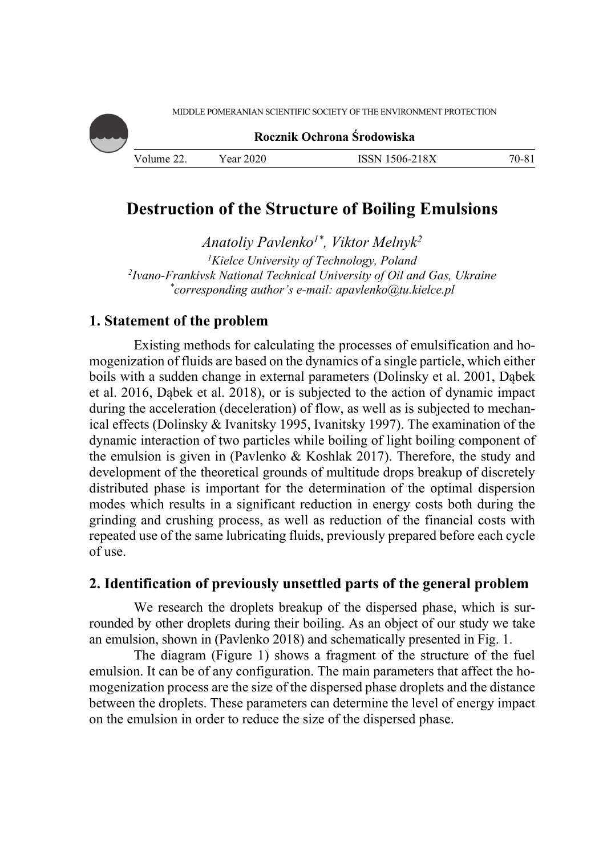

**Rocznik Ochrona Środowiska**

| Volume<br>. | 2020<br>'ear | $-218X$<br>$1506 - 7$<br>19 S.N<br>. . | /0.X<br>v. |
|-------------|--------------|----------------------------------------|------------|

# **Destruction of the Structure of Boiling Emulsions**

*Anatoliy Pavlenko1\*, Viktor Melnyk2 1* <sup>1</sup>Kielce University of Technology, Poland<br><sup>2</sup>bano-Frankiysk National Technical University of Oil an *Ivano-Frankivsk National Technical University of Oil and Gas, Ukraine \* corresponding author's e-mail: apavlenko@tu.kielce.pl* 

## **1. Statement of the problem**

Existing methods for calculating the processes of emulsification and homogenization of fluids are based on the dynamics of a single particle, which either boils with a sudden change in external parameters (Dolinsky et al. 2001, Dąbek et al. 2016, Dąbek et al. 2018), or is subjected to the action of dynamic impact during the acceleration (deceleration) of flow, as well as is subjected to mechanical effects (Dolinsky & Ivanitsky 1995, Ivanitsky 1997). The examination of the dynamic interaction of two particles while boiling of light boiling component of the emulsion is given in (Pavlenko & Koshlak 2017). Therefore, the study and development of the theoretical grounds of multitude drops breakup of discretely distributed phase is important for the determination of the optimal dispersion modes which results in a significant reduction in energy costs both during the grinding and crushing process, as well as reduction of the financial costs with repeated use of the same lubricating fluids, previously prepared before each cycle of use.

## **2. Identification of previously unsettled parts of the general problem**

We research the droplets breakup of the dispersed phase, which is surrounded by other droplets during their boiling. As an object of our study we take an emulsion, shown in (Pavlenko 2018) and schematically presented in Fig. 1.

The diagram (Figure 1) shows a fragment of the structure of the fuel emulsion. It can be of any configuration. The main parameters that affect the homogenization process are the size of the dispersed phase droplets and the distance between the droplets. These parameters can determine the level of energy impact on the emulsion in order to reduce the size of the dispersed phase.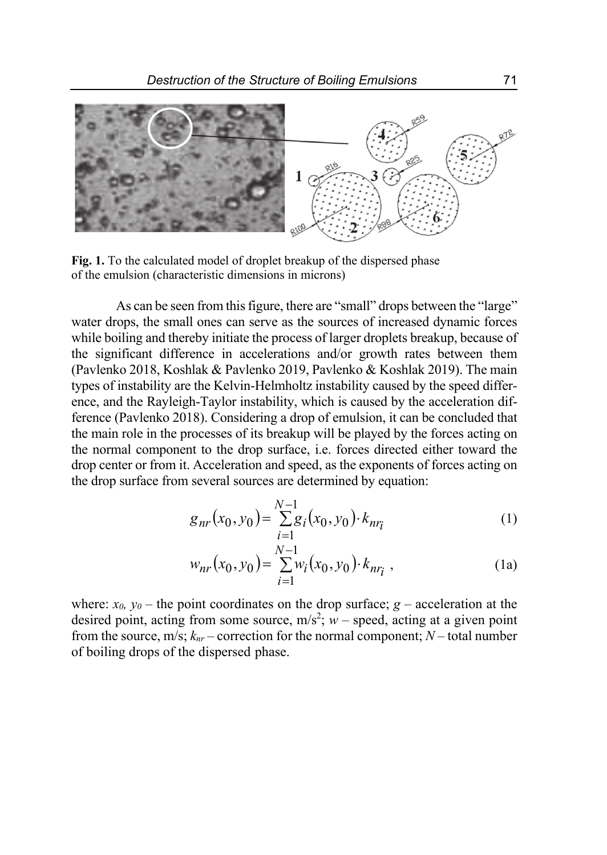

**Fig. 1.** To the calculated model of droplet breakup of the dispersed phase of the emulsion (characteristic dimensions in microns)

As can be seen from this figure, there are "small" drops between the "large" water drops, the small ones can serve as the sources of increased dynamic forces while boiling and thereby initiate the process of larger droplets breakup, because of the significant difference in accelerations and/or growth rates between them (Pavlenko 2018, Koshlak & Pavlenko 2019, Pavlenko & Koshlak 2019). The main types of instability are the Kelvin-Helmholtz instability caused by the speed difference, and the Rayleigh-Taylor instability, which is caused by the acceleration difference (Pavlenko 2018). Considering a drop of emulsion, it can be concluded that the main role in the processes of its breakup will be played by the forces acting on the normal component to the drop surface, i.e. forces directed either toward the drop center or from it. Acceleration and speed, as the exponents of forces acting on the drop surface from several sources are determined by equation:

$$
g_{nr}(x_0, y_0) = \sum_{i=1}^{N-1} g_i(x_0, y_0) \cdot k_{nr_i}
$$
 (1)

$$
w_{nr}(x_0, y_0) = \sum_{i=1}^{N-1} w_i(x_0, y_0) \cdot k_{nr_i} \tag{1a}
$$

where:  $x_0$ ,  $y_0$  – the point coordinates on the drop surface;  $g$  – acceleration at the desired point, acting from some source,  $m/s^2$ ;  $w$  – speed, acting at a given point from the source,  $m/s$ ;  $k_{nr}$  – correction for the normal component;  $N$  – total number of boiling drops of the dispersed phase.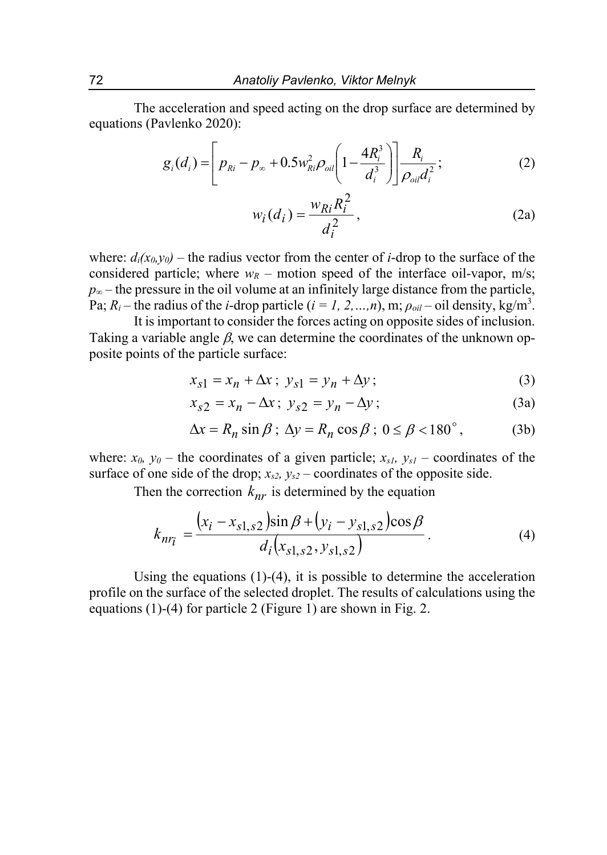The acceleration and speed acting on the drop surface are determined by equations (Pavlenko 2020):

$$
g_i(d_i) = \left[ p_{Ri} - p_{\infty} + 0.5 w_{Ri}^2 \rho_{oil} \left( 1 - \frac{4 R_i^3}{d_i^3} \right) \right] \frac{R_i}{\rho_{oil} d_i^2};
$$
 (2)

$$
w_i(d_i) = \frac{w_{Ri}R_i^2}{d_i^2},\tag{2a}
$$

where:  $d_i(x_0, y_0)$  – the radius vector from the center of *i*-drop to the surface of the considered particle; where  $w_R$  – motion speed of the interface oil-vapor, m/s; *p<sub>∞</sub>* – the pressure in the oil volume at an infinitely large distance from the particle, Pa;  $R_i$  – the radius of the *i*-drop particle (*i* = *1*, 2, ...,*n*), m;  $\rho_{oil}$  – oil density, kg/m<sup>3</sup>.

It is important to consider the forces acting on opposite sides of inclusion. Taking a variable angle  $\beta$ , we can determine the coordinates of the unknown opposite points of the particle surface:

$$
x_{s1} = x_n + \Delta x \, ; \, y_{s1} = y_n + \Delta y \, ; \tag{3}
$$

$$
x_{s2} = x_n - \Delta x \, ; \, y_{s2} = y_n - \Delta y \, ; \tag{3a}
$$

$$
\Delta x = R_n \sin \beta; \ \Delta y = R_n \cos \beta; \ 0 \le \beta < 180^\circ, \tag{3b}
$$

where:  $x_0$ ,  $y_0$  – the coordinates of a given particle;  $x_{s1}$ ,  $y_{s1}$  – coordinates of the surface of one side of the drop;  $x_{s2}$ ,  $y_{s2}$  – coordinates of the opposite side.

Then the correction  $k_{nr}$  is determined by the equation

$$
k_{nr_i} = \frac{(x_i - x_{s1,s2})\sin\beta + (y_i - y_{s1,s2})\cos\beta}{d_i(x_{s1,s2}, y_{s1,s2})}.
$$
 (4)

Using the equations  $(1)-(4)$ , it is possible to determine the acceleration profile on the surface of the selected droplet. The results of calculations using the equations (1)-(4) for particle 2 (Figure 1) are shown in Fig. 2.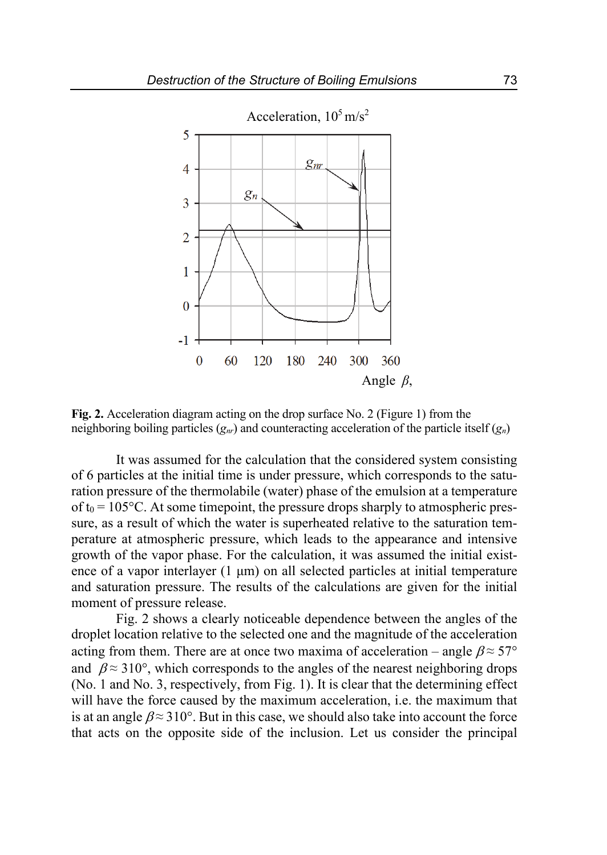

**Fig. 2.** Acceleration diagram acting on the drop surface No. 2 (Figure 1) from the neighboring boiling particles (*gnr*) and counteracting acceleration of the particle itself (*gn*)

It was assumed for the calculation that the considered system consisting of 6 particles at the initial time is under pressure, which corresponds to the saturation pressure of the thermolabile (water) phase of the emulsion at a temperature of  $t_0 = 105$ °C. At some timepoint, the pressure drops sharply to atmospheric pressure, as a result of which the water is superheated relative to the saturation temperature at atmospheric pressure, which leads to the appearance and intensive growth of the vapor phase. For the calculation, it was assumed the initial existence of a vapor interlayer (1 μm) on all selected particles at initial temperature and saturation pressure. The results of the calculations are given for the initial moment of pressure release.

Fig. 2 shows a clearly noticeable dependence between the angles of the droplet location relative to the selected one and the magnitude of the acceleration acting from them. There are at once two maxima of acceleration – angle  $\beta \approx 57^{\circ}$ and  $\beta \approx 310^{\circ}$ , which corresponds to the angles of the nearest neighboring drops (No. 1 and No. 3, respectively, from Fig. 1). It is clear that the determining effect will have the force caused by the maximum acceleration, i.e. the maximum that is at an angle  $\beta \approx 310^\circ$ . But in this case, we should also take into account the force that acts on the opposite side of the inclusion. Let us consider the principal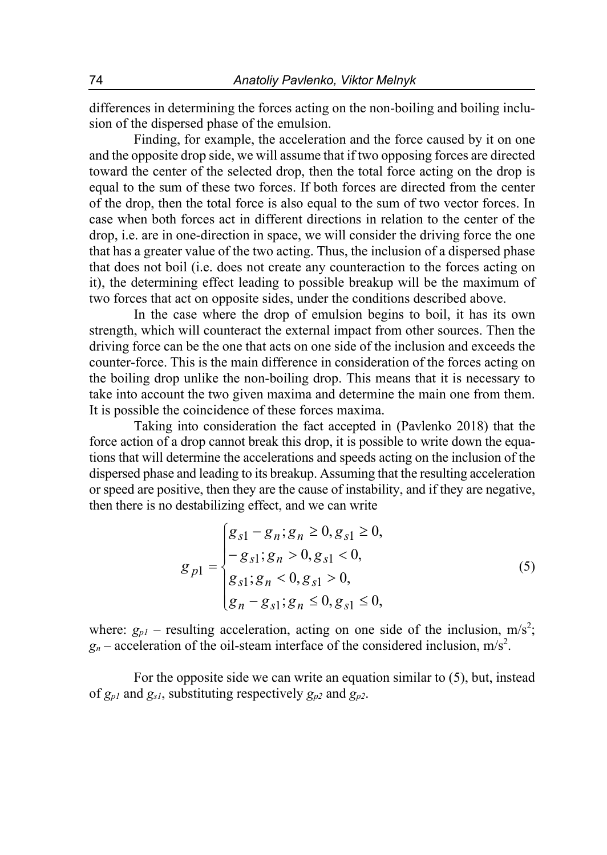differences in determining the forces acting on the non-boiling and boiling inclusion of the dispersed phase of the emulsion.

Finding, for example, the acceleration and the force caused by it on one and the opposite drop side, we will assume that if two opposing forces are directed toward the center of the selected drop, then the total force acting on the drop is equal to the sum of these two forces. If both forces are directed from the center of the drop, then the total force is also equal to the sum of two vector forces. In case when both forces act in different directions in relation to the center of the drop, i.e. are in one-direction in space, we will consider the driving force the one that has a greater value of the two acting. Thus, the inclusion of a dispersed phase that does not boil (i.e. does not create any counteraction to the forces acting on it), the determining effect leading to possible breakup will be the maximum of two forces that act on opposite sides, under the conditions described above.

In the case where the drop of emulsion begins to boil, it has its own strength, which will counteract the external impact from other sources. Then the driving force can be the one that acts on one side of the inclusion and exceeds the counter-force. This is the main difference in consideration of the forces acting on the boiling drop unlike the non-boiling drop. This means that it is necessary to take into account the two given maxima and determine the main one from them. It is possible the coincidence of these forces maxima.

Taking into consideration the fact accepted in (Pavlenko 2018) that the force action of a drop cannot break this drop, it is possible to write down the equations that will determine the accelerations and speeds acting on the inclusion of the dispersed phase and leading to its breakup. Assuming that the resulting acceleration or speed are positive, then they are the cause of instability, and if they are negative, then there is no destabilizing effect, and we can write

$$
g_{p1} = \begin{cases} g_{s1} - g_n; g_n \ge 0, g_{s1} \ge 0, \\ -g_{s1}; g_n > 0, g_{s1} < 0, \\ g_{s1}; g_n < 0, g_{s1} > 0, \\ g_n - g_{s1}; g_n \le 0, g_{s1} \le 0, \end{cases}
$$
(5)

where:  $g_{p1}$  – resulting acceleration, acting on one side of the inclusion, m/s<sup>2</sup>;  $g_n$  – acceleration of the oil-steam interface of the considered inclusion, m/s<sup>2</sup>.

For the opposite side we can write an equation similar to (5), but, instead of  $g_{p1}$  and  $g_{s1}$ , substituting respectively  $g_{p2}$  and  $g_{p2}$ .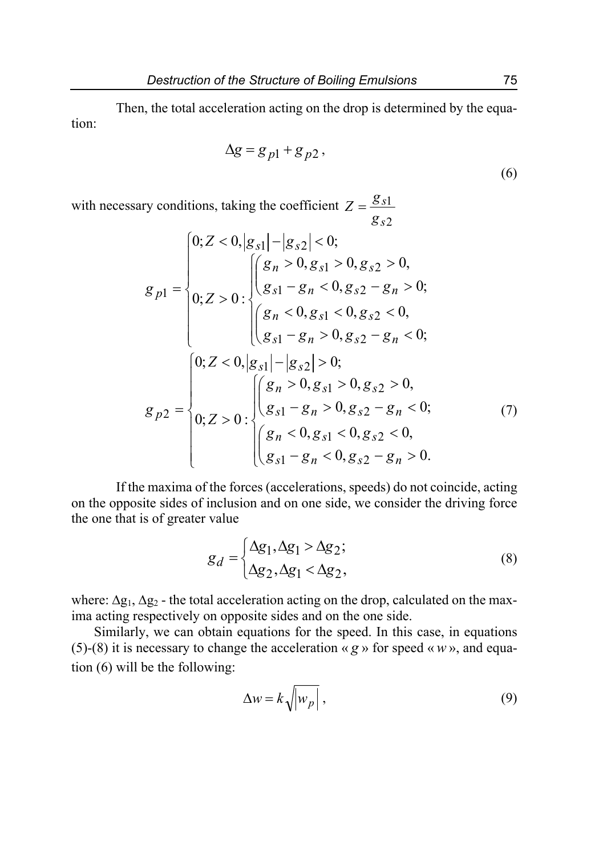Then, the total acceleration acting on the drop is determined by the equation:

$$
\Delta g = g_{p1} + g_{p2},\tag{6}
$$

with necessary conditions, taking the coefficient  $Z = \frac{g_{s1}}{g}$ 2 *s g*

$$
g_{p1} = \begin{cases} 0; Z < 0, |g_{s1}| - |g_{s2}| < 0; \\ (g_n > 0, g_{s1} > 0, g_{s2} > 0, \\ (g_{s1} - g_n < 0, g_{s2} - g_n > 0; \\ (g_n < 0, g_{s1} < 0, g_{s2} < 0, \\ (g_{s1} - g_n > 0, g_{s2} - g_n < 0; \end{cases}
$$
\n
$$
g_{p2} = \begin{cases} 0; Z < 0, |g_{s1}| - |g_{s2}| > 0; \\ (g_n > 0, g_{s1} > 0, g_{s2} > 0, \\ (g_{s1} - g_n > 0, g_{s2} - g_n < 0; \\ (g_n < 0, g_{s1} < 0, g_{s2} < 0, \\ (g_{s1} - g_n < 0, g_{s2} - g_n > 0. \end{cases} \tag{7}
$$

If the maxima of the forces (accelerations, speeds) do not coincide, acting on the opposite sides of inclusion and on one side, we consider the driving force the one that is of greater value

$$
g_d = \begin{cases} \Delta g_1, \Delta g_1 > \Delta g_2; \\ \Delta g_2, \Delta g_1 < \Delta g_2, \end{cases}
$$
 (8)

where:  $\Delta g_1$ ,  $\Delta g_2$  - the total acceleration acting on the drop, calculated on the maxima acting respectively on opposite sides and on the one side.

Similarly, we can obtain equations for the speed. In this case, in equations (5)-(8) it is necessary to change the acceleration « *g* » for speed «*w* », and equation (6) will be the following:

$$
\Delta w = k \sqrt{\left| w_p \right|} \,, \tag{9}
$$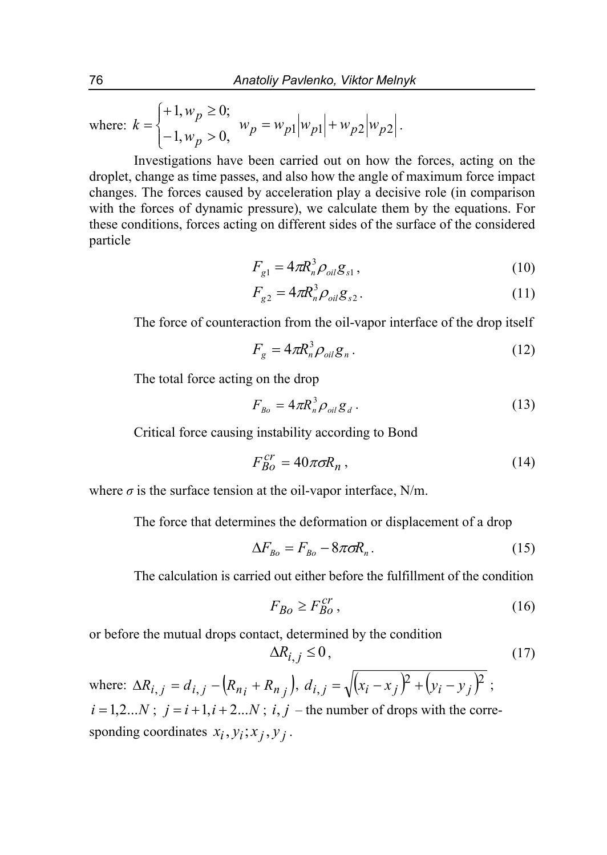where:  $k = \begin{cases} \frac{1}{2} & \text{if } k = 1 \end{cases}$ ↑  $\left($  $= \begin{cases} +1, w_p \ge 0; \\ -1, w_p > 0, \end{cases}$ *p p w w*  $k = \begin{cases} k = \frac{p}{2} & w_p = w_{p1} |w_{p1}| + w_{p2} |w_{p2}|. \end{cases}$ 

Investigations have been carried out on how the forces, acting on the droplet, change as time passes, and also how the angle of maximum force impact changes. The forces caused by acceleration play a decisive role (in comparison with the forces of dynamic pressure), we calculate them by the equations. For these conditions, forces acting on different sides of the surface of the considered particle

$$
F_{g1} = 4\pi R_n^3 \rho_{oil} g_{s1},\tag{10}
$$

$$
F_{g2} = 4\pi R_n^3 \rho_{oil} g_{s2}.
$$
 (11)

The force of counteraction from the oil-vapor interface of the drop itself

$$
F_g = 4\pi R_n^3 \rho_{oil} g_n \,. \tag{12}
$$

The total force acting on the drop

$$
F_{Bo} = 4\pi R_n^3 \rho_{oil} g_d \,. \tag{13}
$$

Critical force causing instability according to Bond

$$
F_{Bo}^{cr} = 40\pi\sigma R_n \,,\tag{14}
$$

where  $\sigma$  is the surface tension at the oil-vapor interface, N/m.

The force that determines the deformation or displacement of a drop

$$
\Delta F_{Bo} = F_{Bo} - 8\pi \sigma R_n. \tag{15}
$$

The calculation is carried out either before the fulfillment of the condition

$$
F_{Bo} \ge F_{Bo}^{cr},\tag{16}
$$

or before the mutual drops contact, determined by the condition

$$
\Delta R_{i,j} \le 0,\tag{17}
$$

where:  $\Delta R_{i,j} = d_{i,j} - (R_{n_i} + R_{n_j}), d_{i,j} = \sqrt{(x_i - x_j)^2 + (y_i - y_j)^2};$  $i = 1,2...N$ ;  $j = i+1, i+2...N$ ;  $i, j$  – the number of drops with the corresponding coordinates  $x_i$ ,  $y_i$ ;  $x_j$ ,  $y_j$ .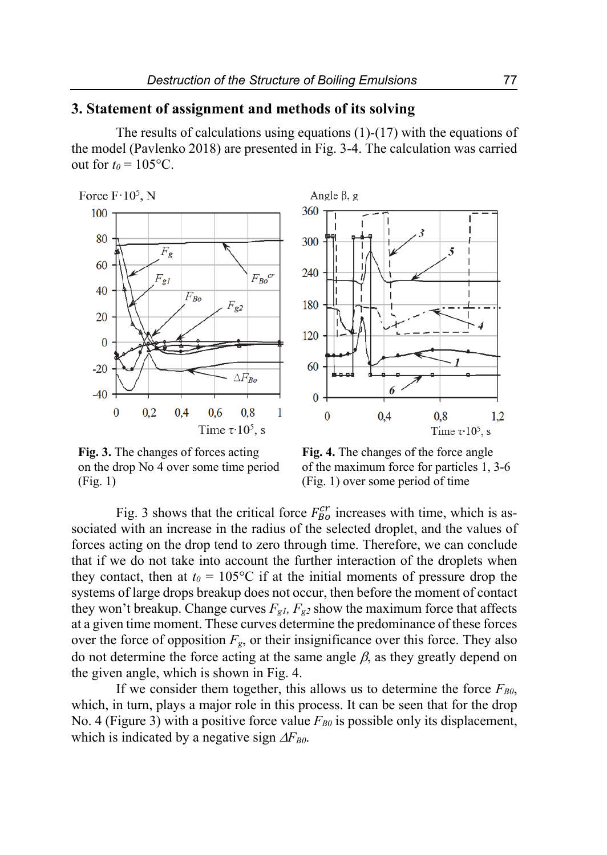## **3. Statement of assignment and methods of its solving**

The results of calculations using equations (1)-(17) with the equations of the model (Pavlenko 2018) are presented in Fig. 3-4. The calculation was carried out for  $t_0 = 105$ °C.

Force  $F \tcdot 10^5$ , N





**Fig. 3.** The changes of forces acting on the drop No 4 over some time period (Fig. 1)

**Fig. 4.** The changes of the force angle of the maximum force for particles 1, 3-6 (Fig. 1) over some period of time

Fig. 3 shows that the critical force  $F_{B0}^{cr}$  increases with time, which is associated with an increase in the radius of the selected droplet, and the values of forces acting on the drop tend to zero through time. Therefore, we can conclude that if we do not take into account the further interaction of the droplets when they contact, then at  $t_0 = 105$ °C if at the initial moments of pressure drop the systems of large drops breakup does not occur, then before the moment of contact they won't breakup. Change curves  $F_{gl}$ ,  $F_{g2}$  show the maximum force that affects at a given time moment. These curves determine the predominance of these forces over the force of opposition  $F_g$ , or their insignificance over this force. They also do not determine the force acting at the same angle  $\beta$ , as they greatly depend on the given angle, which is shown in Fig. 4.

If we consider them together, this allows us to determine the force  $F_{B0}$ , which, in turn, plays a major role in this process. It can be seen that for the drop No. 4 (Figure 3) with a positive force value  $F_{B0}$  is possible only its displacement, which is indicated by a negative sign  $\Delta F_{B0}$ .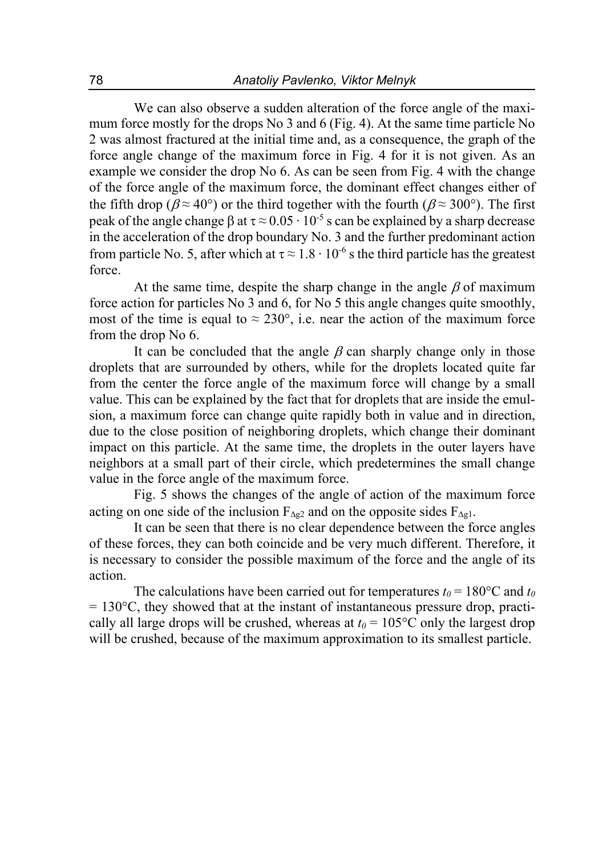We can also observe a sudden alteration of the force angle of the maximum force mostly for the drops No 3 and 6 (Fig. 4). At the same time particle No 2 was almost fractured at the initial time and, as a consequence, the graph of the force angle change of the maximum force in Fig. 4 for it is not given. As an example we consider the drop No 6. As can be seen from Fig. 4 with the change of the force angle of the maximum force, the dominant effect changes either of the fifth drop ( $\beta \approx 40^{\circ}$ ) or the third together with the fourth ( $\beta \approx 300^{\circ}$ ). The first peak of the angle change  $\beta$  at  $\tau \approx 0.05 \cdot 10^{-5}$  s can be explained by a sharp decrease in the acceleration of the drop boundary No. 3 and the further predominant action from particle No. 5, after which at  $\tau \approx 1.8 \cdot 10^{-6}$  s the third particle has the greatest force.

At the same time, despite the sharp change in the angle  $\beta$  of maximum force action for particles No 3 and 6, for No 5 this angle changes quite smoothly, most of the time is equal to  $\approx 230^{\circ}$ , i.e. near the action of the maximum force from the drop No 6.

It can be concluded that the angle  $\beta$  can sharply change only in those droplets that are surrounded by others, while for the droplets located quite far from the center the force angle of the maximum force will change by a small value. This can be explained by the fact that for droplets that are inside the emulsion, a maximum force can change quite rapidly both in value and in direction, due to the close position of neighboring droplets, which change their dominant impact on this particle. At the same time, the droplets in the outer layers have neighbors at a small part of their circle, which predetermines the small change value in the force angle of the maximum force.

Fig. 5 shows the changes of the angle of action of the maximum force acting on one side of the inclusion  $F_{\Delta g2}$  and on the opposite sides  $F_{\Delta g1}$ .

It can be seen that there is no clear dependence between the force angles of these forces, they can both coincide and be very much different. Therefore, it is necessary to consider the possible maximum of the force and the angle of its action.

The calculations have been carried out for temperatures  $t_0 = 180$ °C and  $t_0$  $= 130^{\circ}$ C, they showed that at the instant of instantaneous pressure drop, practically all large drops will be crushed, whereas at  $t_0 = 105$ °C only the largest drop will be crushed, because of the maximum approximation to its smallest particle.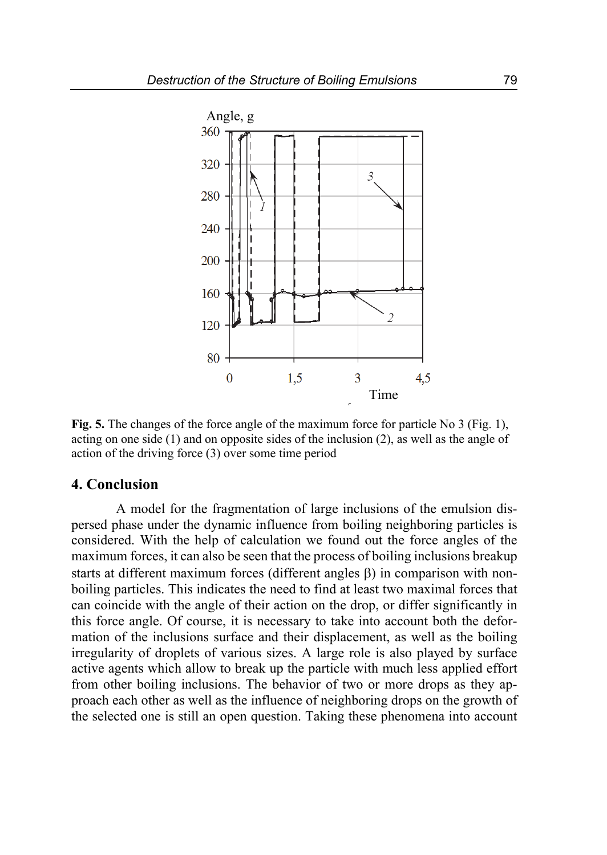

**Fig. 5.** The changes of the force angle of the maximum force for particle No 3 (Fig. 1), acting on one side (1) and on opposite sides of the inclusion (2), as well as the angle of action of the driving force (3) over some time period

## **4. Conclusion**

A model for the fragmentation of large inclusions of the emulsion dispersed phase under the dynamic influence from boiling neighboring particles is considered. With the help of calculation we found out the force angles of the maximum forces, it can also be seen that the process of boiling inclusions breakup starts at different maximum forces (different angles  $\beta$ ) in comparison with nonboiling particles. This indicates the need to find at least two maximal forces that can coincide with the angle of their action on the drop, or differ significantly in this force angle. Of course, it is necessary to take into account both the deformation of the inclusions surface and their displacement, as well as the boiling irregularity of droplets of various sizes. A large role is also played by surface active agents which allow to break up the particle with much less applied effort from other boiling inclusions. The behavior of two or more drops as they approach each other as well as the influence of neighboring drops on the growth of the selected one is still an open question. Taking these phenomena into account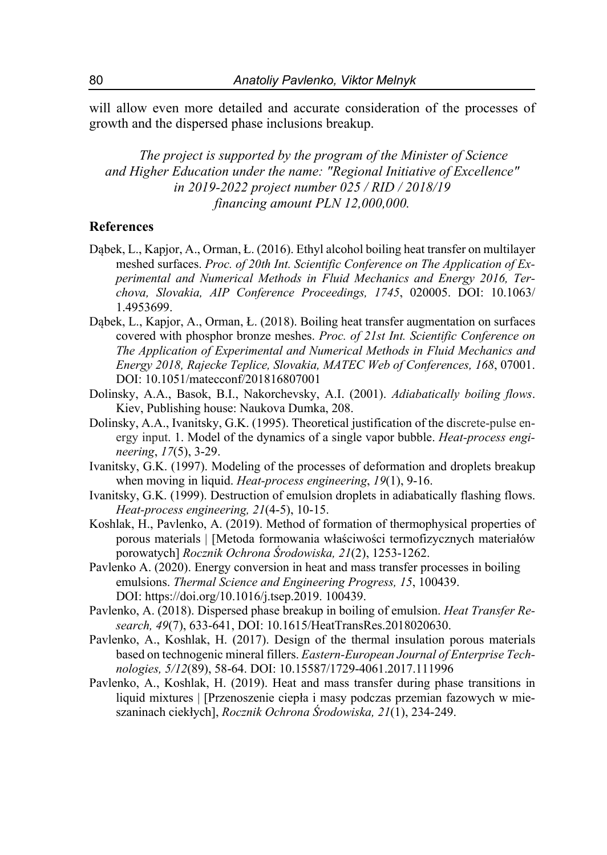will allow even more detailed and accurate consideration of the processes of growth and the dispersed phase inclusions breakup.

*The project is supported by the program of the Minister of Science and Higher Education under the name: "Regional Initiative of Excellence" in 2019-2022 project number 025 / RID / 2018/19 financing amount PLN 12,000,000.* 

#### **References**

- Dąbek, L., Kapjor, A., Orman, Ł. (2016). Ethyl alcohol boiling heat transfer on multilayer meshed surfaces. *Proc. of 20th Int. Scientific Conference on The Application of Experimental and Numerical Methods in Fluid Mechanics and Energy 2016, Terchova, Slovakia, AIP Conference Proceedings, 1745*, 020005. DOI: 10.1063/ 1.4953699.
- Dąbek, L., Kapjor, A., Orman, Ł. (2018). Boiling heat transfer augmentation on surfaces covered with phosphor bronze meshes. *Proc. of 21st Int. Scientific Conference on The Application of Experimental and Numerical Methods in Fluid Mechanics and Energy 2018, Rajecke Teplice, Slovakia, MATEC Web of Conferences, 168*, 07001. DOI: 10.1051/matecconf/201816807001
- Dolinsky, A.A., Basok, B.I., Nakorchevsky, A.I. (2001). *Adiabatically boiling flows*. Kiev, Publishing house: Naukova Dumka, 208.
- Dolinsky, A.A., Ivanitsky, G.K. (1995). Theoretical justification of the discrete-pulse energy input. 1. Model of the dynamics of a single vapor bubble. *Heat-process engineering*, *17*(5), 3-29.
- Ivanitsky, G.K. (1997). Modeling of the processes of deformation and droplets breakup when moving in liquid. *Heat-process engineering*, *19*(1), 9-16.
- Ivanitsky, G.K. (1999). Destruction of emulsion droplets in adiabatically flashing flows. *Heat-process engineering, 21*(4-5), 10-15.
- Koshlak, H., Pavlenko, A. (2019). Method of formation of thermophysical properties of porous materials | [Metoda formowania właściwości termofizycznych materiałów porowatych] *Rocznik Ochrona Środowiska, 21*(2), 1253-1262.
- Pavlenko A. (2020). Energy conversion in heat and mass transfer processes in boiling emulsions. *Thermal Science and Engineering Progress, 15*, 100439. DOI: https://doi.org/10.1016/j.tsep.2019. 100439.
- Pavlenko, A. (2018). Dispersed phase breakup in boiling of emulsion. *Heat Transfer Research, 49*(7), 633-641, DOI: 10.1615/HeatTransRes.2018020630.
- Pavlenko, A., Koshlak, H. (2017). Design of the thermal insulation porous materials based on technogenic mineral fillers. *Eastern-European Journal of Enterprise Technologies, 5/12*(89), 58-64. DOI: 10.15587/1729-4061.2017.111996
- Pavlenko, A., Koshlak, H. (2019). Heat and mass transfer during phase transitions in liquid mixtures | [Przenoszenie ciepła i masy podczas przemian fazowych w mieszaninach ciekłych], *Rocznik Ochrona Środowiska, 21*(1), 234-249.